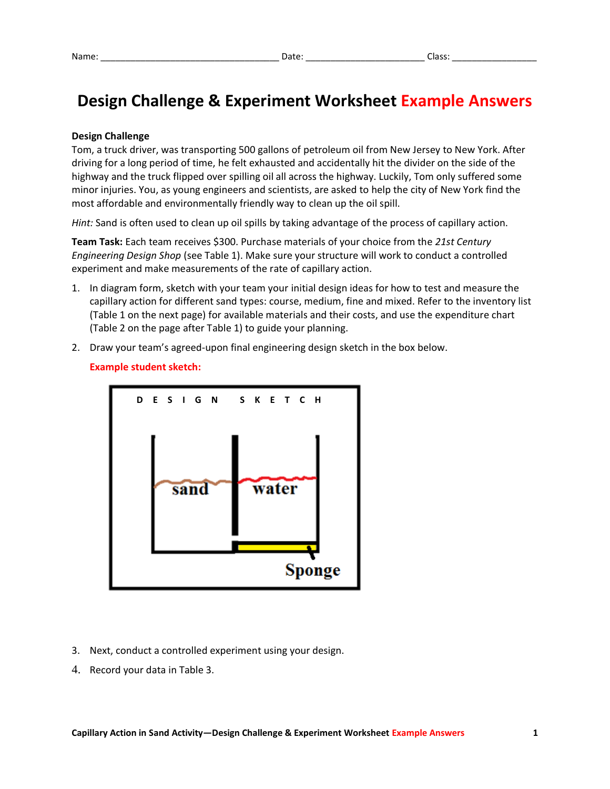# **Design Challenge & Experiment Worksheet Example Answers**

### **Design Challenge**

Tom, a truck driver, was transporting 500 gallons of petroleum oil from New Jersey to New York. After driving for a long period of time, he felt exhausted and accidentally hit the divider on the side of the highway and the truck flipped over spilling oil all across the highway. Luckily, Tom only suffered some minor injuries. You, as young engineers and scientists, are asked to help the city of New York find the most affordable and environmentally friendly way to clean up the oil spill.

*Hint:* Sand is often used to clean up oil spills by taking advantage of the process of capillary action.

**Team Task:** Each team receives \$300. Purchase materials of your choice from the *21st Century Engineering Design Shop* (see Table 1). Make sure your structure will work to conduct a controlled experiment and make measurements of the rate of capillary action.

- 1. In diagram form, sketch with your team your initial design ideas for how to test and measure the capillary action for different sand types: course, medium, fine and mixed. Refer to the inventory list (Table 1 on the next page) for available materials and their costs, and use the expenditure chart (Table 2 on the page after Table 1) to guide your planning.
- 2. Draw your team's agreed-upon final engineering design sketch in the box below.



### **Example student sketch:**

- 3. Next, conduct a controlled experiment using your design.
- 4. Record your data in Table 3.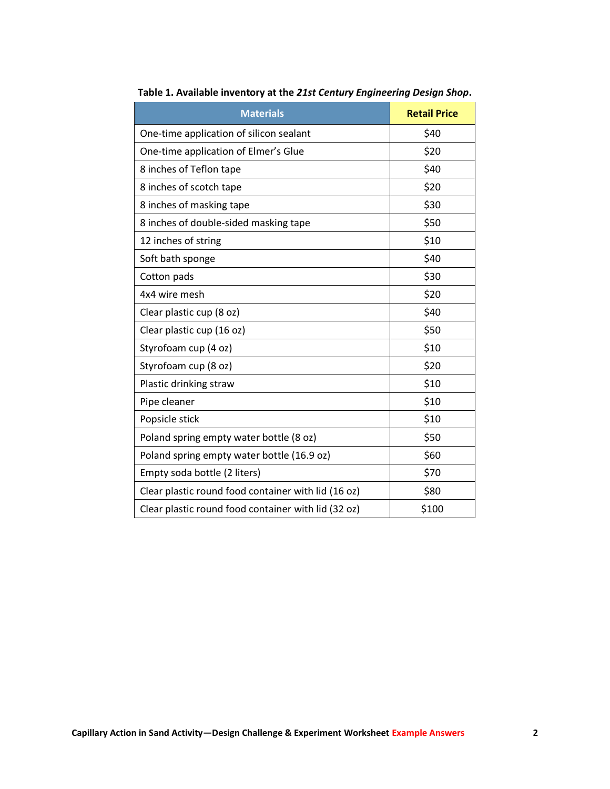| <b>Materials</b>                                    | <b>Retail Price</b> |
|-----------------------------------------------------|---------------------|
| One-time application of silicon sealant             | \$40                |
| One-time application of Elmer's Glue                | \$20                |
| 8 inches of Teflon tape                             | \$40                |
| 8 inches of scotch tape                             | \$20                |
| 8 inches of masking tape                            | \$30                |
| 8 inches of double-sided masking tape               | \$50                |
| 12 inches of string                                 | \$10                |
| Soft bath sponge                                    | \$40                |
| Cotton pads                                         | \$30                |
| 4x4 wire mesh                                       | \$20                |
| Clear plastic cup (8 oz)                            | \$40                |
| Clear plastic cup (16 oz)                           | \$50                |
| Styrofoam cup (4 oz)                                | \$10                |
| Styrofoam cup (8 oz)                                | \$20                |
| Plastic drinking straw                              | \$10                |
| Pipe cleaner                                        | \$10                |
| Popsicle stick                                      | \$10                |
| Poland spring empty water bottle (8 oz)             | \$50                |
| Poland spring empty water bottle (16.9 oz)          | \$60                |
| Empty soda bottle (2 liters)                        | \$70                |
| Clear plastic round food container with lid (16 oz) | \$80                |
| Clear plastic round food container with lid (32 oz) | \$100               |

**Table 1. Available inventory at the** *21st Century Engineering Design Shop***.**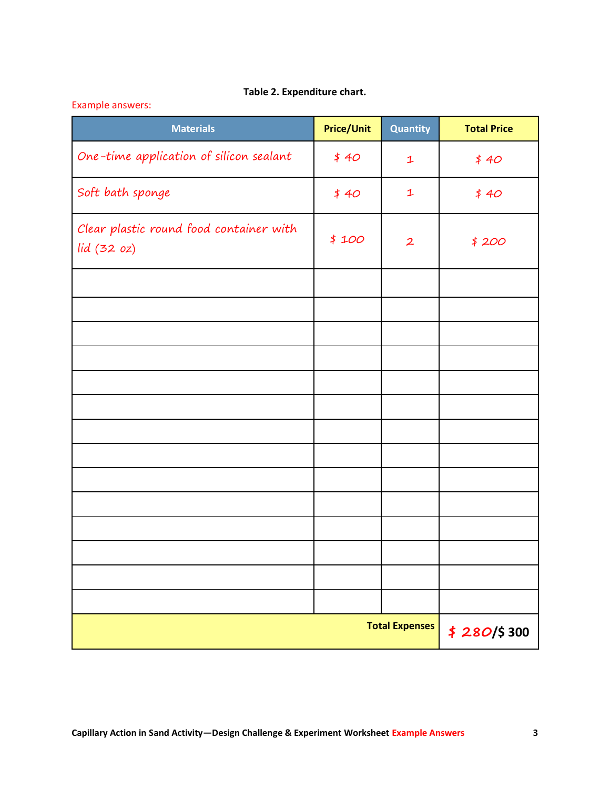# **Table 2. Expenditure chart.**

# Example answers:

| <b>Materials</b>                                      | <b>Price/Unit</b>                    | Quantity             | <b>Total Price</b> |
|-------------------------------------------------------|--------------------------------------|----------------------|--------------------|
| One-time application of silicon sealant               | \$40                                 | $\mathbf 1$          | \$40               |
| Soft bath sponge                                      | \$40                                 | $\mathbf{1}$<br>\$40 |                    |
| Clear plastic round food container with<br>lid(32 oz) | \$100                                | $\mathbf{2}$         | \$200              |
|                                                       |                                      |                      |                    |
|                                                       |                                      |                      |                    |
|                                                       |                                      |                      |                    |
|                                                       |                                      |                      |                    |
|                                                       |                                      |                      |                    |
|                                                       |                                      |                      |                    |
|                                                       |                                      |                      |                    |
|                                                       |                                      |                      |                    |
|                                                       |                                      |                      |                    |
|                                                       |                                      |                      |                    |
|                                                       |                                      |                      |                    |
|                                                       |                                      |                      |                    |
|                                                       |                                      |                      |                    |
|                                                       |                                      |                      |                    |
|                                                       | <b>Total Expenses</b><br>\$280/\$300 |                      |                    |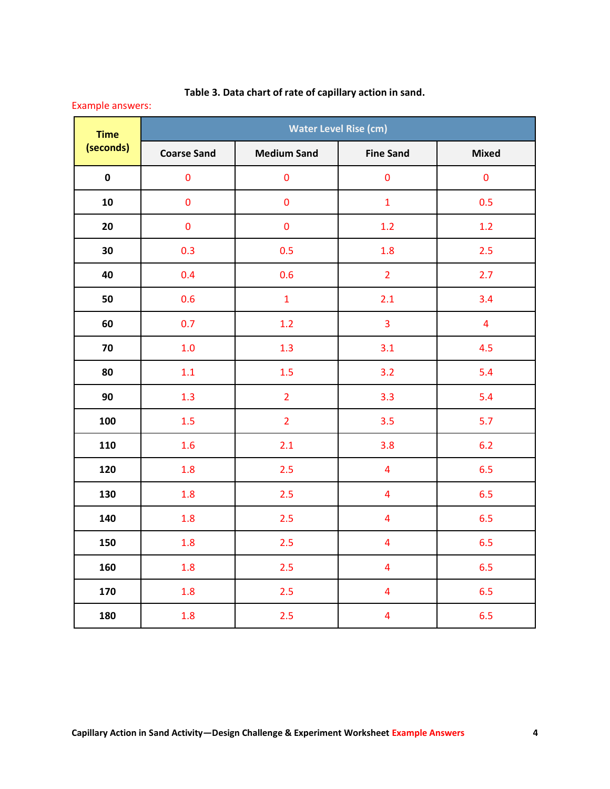| <b>Example answers:</b>  |                              |                    |                         |                         |  |  |  |  |
|--------------------------|------------------------------|--------------------|-------------------------|-------------------------|--|--|--|--|
| <b>Time</b><br>(seconds) | <b>Water Level Rise (cm)</b> |                    |                         |                         |  |  |  |  |
|                          | <b>Coarse Sand</b>           | <b>Medium Sand</b> | <b>Fine Sand</b>        | <b>Mixed</b>            |  |  |  |  |
| $\mathbf 0$              | $\pmb{0}$                    | $\pmb{0}$          | $\pmb{0}$               | $\pmb{0}$               |  |  |  |  |
| ${\bf 10}$               | $\pmb{0}$                    | $\pmb{0}$          | $\mathbf{1}$            | 0.5                     |  |  |  |  |
| 20                       | $\pmb{0}$                    | $\pmb{0}$          | 1.2                     | 1.2                     |  |  |  |  |
| 30                       | 0.3                          | 0.5                | 1.8                     | 2.5                     |  |  |  |  |
| 40                       | 0.4                          | 0.6                | $\overline{2}$          | 2.7                     |  |  |  |  |
| 50                       | 0.6                          | $\mathbf{1}$       | 2.1                     | 3.4                     |  |  |  |  |
| 60                       | 0.7                          | 1.2                | 3                       | $\overline{\mathbf{4}}$ |  |  |  |  |
| 70                       | 1.0                          | 1.3                | 3.1                     | 4.5                     |  |  |  |  |
| 80                       | 1.1                          | 1.5                | 3.2                     | 5.4                     |  |  |  |  |
| 90                       | 1.3                          | $\overline{2}$     | 3.3                     | 5.4                     |  |  |  |  |
| 100                      | 1.5                          | $\overline{2}$     | 3.5                     | 5.7                     |  |  |  |  |
| 110                      | 1.6                          | 2.1                | 3.8                     | 6.2                     |  |  |  |  |
| 120                      | 1.8                          | 2.5                | $\overline{4}$          | 6.5                     |  |  |  |  |
| 130                      | 1.8                          | 2.5                | $\overline{4}$          | 6.5                     |  |  |  |  |
| 140                      | 1.8                          | 2.5                | $\overline{\mathbf{4}}$ | 6.5                     |  |  |  |  |
| 150                      | 1.8                          | 2.5                | $\overline{4}$          | 6.5                     |  |  |  |  |
| 160                      | 1.8                          | 2.5                | $\overline{4}$          | 6.5                     |  |  |  |  |
| 170                      | 1.8                          | 2.5                | $\overline{4}$          | 6.5                     |  |  |  |  |
| 180                      | 1.8                          | 2.5                | $\overline{4}$          | 6.5                     |  |  |  |  |

# **Table 3. Data chart of rate of capillary action in sand.**